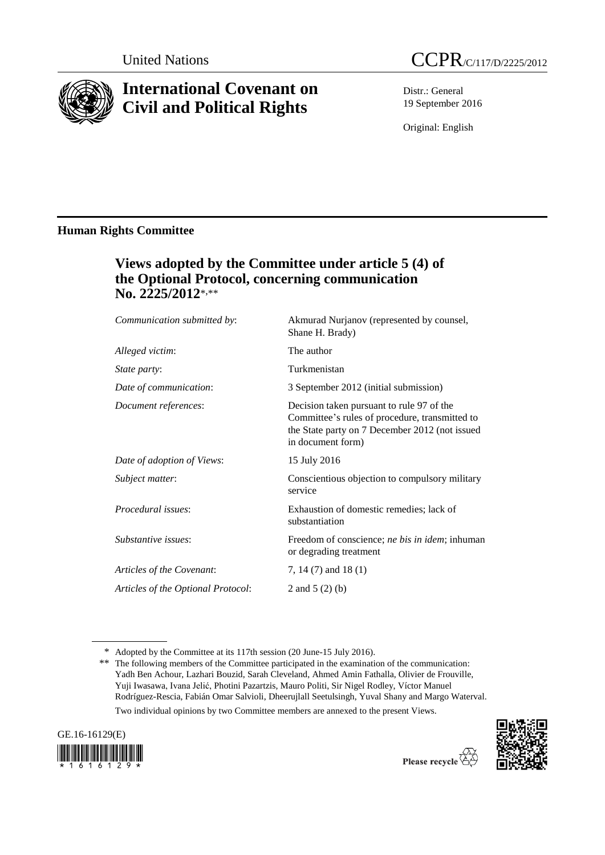

# **International Covenant on Civil and Political Rights**



Distr.: General 19 September 2016

Original: English

## **Human Rights Committee**

## **Views adopted by the Committee under article 5 (4) of the Optional Protocol, concerning communication No. 2225/2012**\*,\*\*

| Communication submitted by:        | Akmurad Nurjanov (represented by counsel,<br>Shane H. Brady)                                                                                                       |
|------------------------------------|--------------------------------------------------------------------------------------------------------------------------------------------------------------------|
| Alleged victim:                    | The author                                                                                                                                                         |
| State party:                       | Turkmenistan                                                                                                                                                       |
| Date of communication:             | 3 September 2012 (initial submission)                                                                                                                              |
| Document references:               | Decision taken pursuant to rule 97 of the<br>Committee's rules of procedure, transmitted to<br>the State party on 7 December 2012 (not issued<br>in document form) |
| Date of adoption of Views:         | 15 July 2016                                                                                                                                                       |
| Subject matter:                    | Conscientious objection to compulsory military<br>service                                                                                                          |
| Procedural issues:                 | Exhaustion of domestic remedies; lack of<br>substantiation                                                                                                         |
| Substantive issues:                | Freedom of conscience; ne bis in idem; inhuman<br>or degrading treatment                                                                                           |
| Articles of the Covenant:          | 7, 14 $(7)$ and 18 $(1)$                                                                                                                                           |
| Articles of the Optional Protocol: | 2 and $5(2)(b)$                                                                                                                                                    |
|                                    |                                                                                                                                                                    |

Two individual opinions by two Committee members are annexed to the present Views.





<sup>\*</sup> Adopted by the Committee at its 117th session (20 June-15 July 2016).

<sup>\*\*</sup> The following members of the Committee participated in the examination of the communication: Yadh Ben Achour, Lazhari Bouzid, Sarah Cleveland, Ahmed Amin Fathalla, Olivier de Frouville, Yuji Iwasawa, Ivana Jelić, Photini Pazartzis, Mauro Politi, Sir Nigel Rodley, Víctor Manuel Rodríguez-Rescia, Fabián Omar Salvioli, Dheerujlall Seetulsingh, Yuval Shany and Margo Waterval.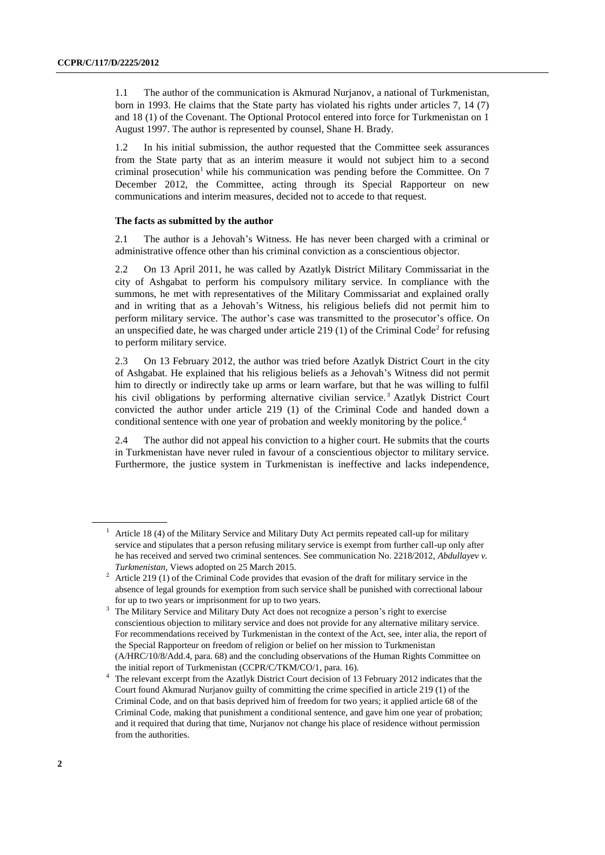1.1 The author of the communication is Akmurad Nurjanov, a national of Turkmenistan, born in 1993. He claims that the State party has violated his rights under articles 7, 14 (7) and 18 (1) of the Covenant. The Optional Protocol entered into force for Turkmenistan on 1 August 1997. The author is represented by counsel, Shane H. Brady.

1.2 In his initial submission, the author requested that the Committee seek assurances from the State party that as an interim measure it would not subject him to a second criminal prosecution<sup>1</sup> while his communication was pending before the Committee. On  $7$ December 2012, the Committee, acting through its Special Rapporteur on new communications and interim measures, decided not to accede to that request.

#### **The facts as submitted by the author**

2.1 The author is a Jehovah's Witness. He has never been charged with a criminal or administrative offence other than his criminal conviction as a conscientious objector.

2.2 On 13 April 2011, he was called by Azatlyk District Military Commissariat in the city of Ashgabat to perform his compulsory military service. In compliance with the summons, he met with representatives of the Military Commissariat and explained orally and in writing that as a Jehovah's Witness, his religious beliefs did not permit him to perform military service. The author's case was transmitted to the prosecutor's office. On an unspecified date, he was charged under article  $219(1)$  of the Criminal Code<sup>2</sup> for refusing to perform military service.

2.3 On 13 February 2012, the author was tried before Azatlyk District Court in the city of Ashgabat. He explained that his religious beliefs as a Jehovah's Witness did not permit him to directly or indirectly take up arms or learn warfare, but that he was willing to fulfil his civil obligations by performing alternative civilian service.<sup>3</sup> Azatlyk District Court convicted the author under article 219 (1) of the Criminal Code and handed down a conditional sentence with one year of probation and weekly monitoring by the police.<sup>4</sup>

2.4 The author did not appeal his conviction to a higher court. He submits that the courts in Turkmenistan have never ruled in favour of a conscientious objector to military service. Furthermore, the justice system in Turkmenistan is ineffective and lacks independence,

<sup>1</sup> Article 18 (4) of the Military Service and Military Duty Act permits repeated call-up for military service and stipulates that a person refusing military service is exempt from further call-up only after he has received and served two criminal sentences. See communication No. 2218/2012, *Abdullayev v. Turkmenistan*, Views adopted on 25 March 2015.

<sup>2</sup> Article 219 (1) of the Criminal Code provides that evasion of the draft for military service in the absence of legal grounds for exemption from such service shall be punished with correctional labour for up to two years or imprisonment for up to two years.

The Military Service and Military Duty Act does not recognize a person's right to exercise conscientious objection to military service and does not provide for any alternative military service. For recommendations received by Turkmenistan in the context of the Act, see, inter alia, the report of the Special Rapporteur on freedom of religion or belief on her mission to Turkmenistan (A/HRC/10/8/Add.4, para. 68) and the concluding observations of the Human Rights Committee on the initial report of Turkmenistan (CCPR/C/TKM/CO/1, para. 16).

<sup>4</sup> The relevant excerpt from the Azatlyk District Court decision of 13 February 2012 indicates that the Court found Akmurad Nurjanov guilty of committing the crime specified in article 219 (1) of the Criminal Code, and on that basis deprived him of freedom for two years; it applied article 68 of the Criminal Code, making that punishment a conditional sentence, and gave him one year of probation; and it required that during that time, Nurjanov not change his place of residence without permission from the authorities.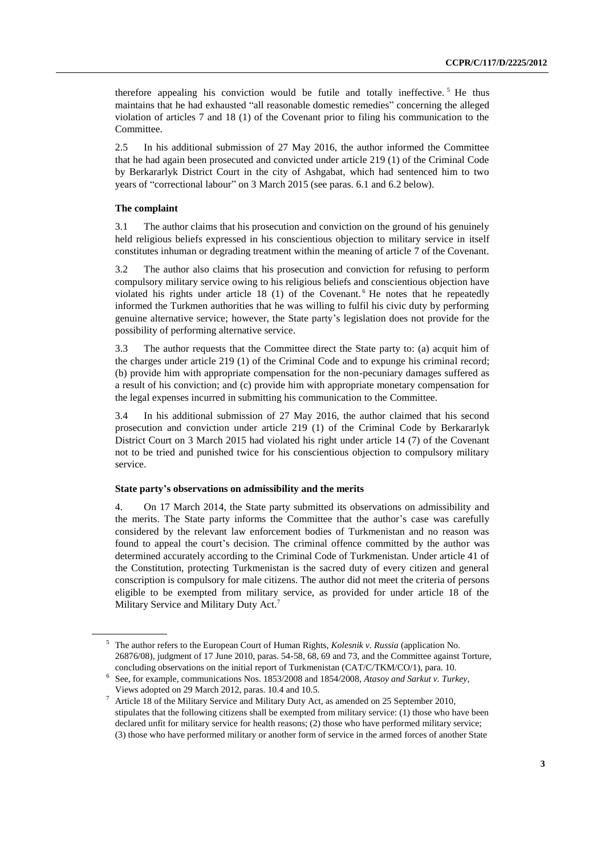therefore appealing his conviction would be futile and totally ineffective.<sup>5</sup> He thus maintains that he had exhausted "all reasonable domestic remedies" concerning the alleged violation of articles 7 and 18 (1) of the Covenant prior to filing his communication to the Committee.

2.5 In his additional submission of 27 May 2016, the author informed the Committee that he had again been prosecuted and convicted under article 219 (1) of the Criminal Code by Berkararlyk District Court in the city of Ashgabat, which had sentenced him to two years of "correctional labour" on 3 March 2015 (see paras. 6.1 and 6.2 below).

#### **The complaint**

3.1 The author claims that his prosecution and conviction on the ground of his genuinely held religious beliefs expressed in his conscientious objection to military service in itself constitutes inhuman or degrading treatment within the meaning of article 7 of the Covenant.

3.2 The author also claims that his prosecution and conviction for refusing to perform compulsory military service owing to his religious beliefs and conscientious objection have violated his rights under article 18  $(1)$  of the Covenant.<sup>6</sup> He notes that he repeatedly informed the Turkmen authorities that he was willing to fulfil his civic duty by performing genuine alternative service; however, the State party's legislation does not provide for the possibility of performing alternative service.

3.3 The author requests that the Committee direct the State party to: (a) acquit him of the charges under article 219 (1) of the Criminal Code and to expunge his criminal record; (b) provide him with appropriate compensation for the non-pecuniary damages suffered as a result of his conviction; and (c) provide him with appropriate monetary compensation for the legal expenses incurred in submitting his communication to the Committee.

3.4 In his additional submission of 27 May 2016, the author claimed that his second prosecution and conviction under article 219 (1) of the Criminal Code by Berkararlyk District Court on 3 March 2015 had violated his right under article 14 (7) of the Covenant not to be tried and punished twice for his conscientious objection to compulsory military service.

#### **State party's observations on admissibility and the merits**

4. On 17 March 2014, the State party submitted its observations on admissibility and the merits. The State party informs the Committee that the author's case was carefully considered by the relevant law enforcement bodies of Turkmenistan and no reason was found to appeal the court's decision. The criminal offence committed by the author was determined accurately according to the Criminal Code of Turkmenistan. Under article 41 of the Constitution, protecting Turkmenistan is the sacred duty of every citizen and general conscription is compulsory for male citizens. The author did not meet the criteria of persons eligible to be exempted from military service, as provided for under article 18 of the Military Service and Military Duty Act.<sup>7</sup>

<sup>5</sup> The author refers to the European Court of Human Rights, *Kolesnik v. Russia* (application No. 26876/08), judgment of 17 June 2010, paras. 54-58, 68, 69 and 73, and the Committee against Torture, concluding observations on the initial report of Turkmenistan (CAT/C/TKM/CO/1), para. 10.

<sup>6</sup> See, for example, communications Nos. 1853/2008 and 1854/2008, *Atasoy and Sarkut v. Turkey*, Views adopted on 29 March 2012, paras. 10.4 and 10.5.

<sup>7</sup> Article 18 of the Military Service and Military Duty Act, as amended on 25 September 2010, stipulates that the following citizens shall be exempted from military service: (1) those who have been declared unfit for military service for health reasons; (2) those who have performed military service; (3) those who have performed military or another form of service in the armed forces of another State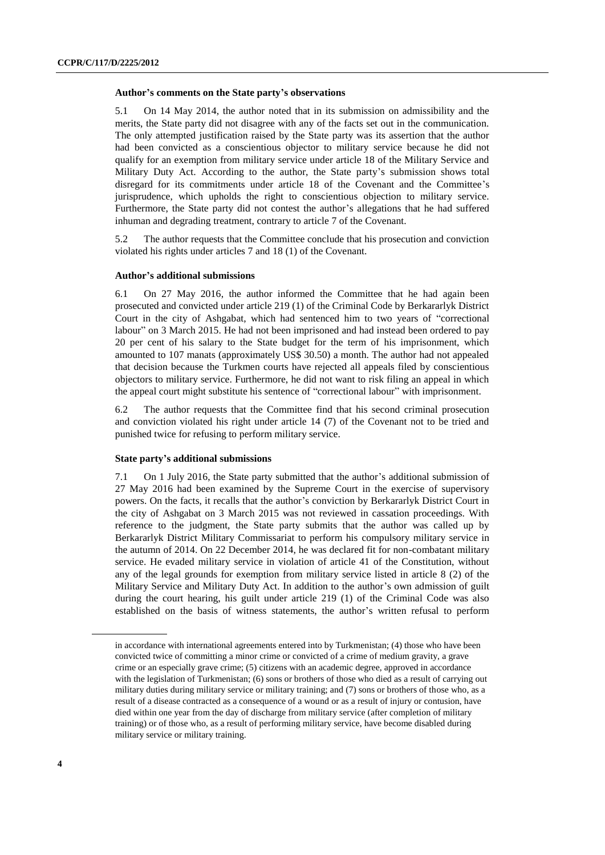#### **Author's comments on the State party's observations**

5.1 On 14 May 2014, the author noted that in its submission on admissibility and the merits, the State party did not disagree with any of the facts set out in the communication. The only attempted justification raised by the State party was its assertion that the author had been convicted as a conscientious objector to military service because he did not qualify for an exemption from military service under article 18 of the Military Service and Military Duty Act. According to the author, the State party's submission shows total disregard for its commitments under article 18 of the Covenant and the Committee's jurisprudence, which upholds the right to conscientious objection to military service. Furthermore, the State party did not contest the author's allegations that he had suffered inhuman and degrading treatment, contrary to article 7 of the Covenant.

5.2 The author requests that the Committee conclude that his prosecution and conviction violated his rights under articles 7 and 18 (1) of the Covenant.

#### **Author's additional submissions**

6.1 On 27 May 2016, the author informed the Committee that he had again been prosecuted and convicted under article 219 (1) of the Criminal Code by Berkararlyk District Court in the city of Ashgabat, which had sentenced him to two years of "correctional labour" on 3 March 2015. He had not been imprisoned and had instead been ordered to pay 20 per cent of his salary to the State budget for the term of his imprisonment, which amounted to 107 manats (approximately US\$ 30.50) a month. The author had not appealed that decision because the Turkmen courts have rejected all appeals filed by conscientious objectors to military service. Furthermore, he did not want to risk filing an appeal in which the appeal court might substitute his sentence of "correctional labour" with imprisonment.

6.2 The author requests that the Committee find that his second criminal prosecution and conviction violated his right under article 14 (7) of the Covenant not to be tried and punished twice for refusing to perform military service.

#### **State party's additional submissions**

7.1 On 1 July 2016, the State party submitted that the author's additional submission of 27 May 2016 had been examined by the Supreme Court in the exercise of supervisory powers. On the facts, it recalls that the author's conviction by Berkararlyk District Court in the city of Ashgabat on 3 March 2015 was not reviewed in cassation proceedings. With reference to the judgment, the State party submits that the author was called up by Berkararlyk District Military Commissariat to perform his compulsory military service in the autumn of 2014. On 22 December 2014, he was declared fit for non-combatant military service. He evaded military service in violation of article 41 of the Constitution, without any of the legal grounds for exemption from military service listed in article 8 (2) of the Military Service and Military Duty Act. In addition to the author's own admission of guilt during the court hearing, his guilt under article 219 (1) of the Criminal Code was also established on the basis of witness statements, the author's written refusal to perform

in accordance with international agreements entered into by Turkmenistan; (4) those who have been convicted twice of committing a minor crime or convicted of a crime of medium gravity, a grave crime or an especially grave crime; (5) citizens with an academic degree, approved in accordance with the legislation of Turkmenistan; (6) sons or brothers of those who died as a result of carrying out military duties during military service or military training; and (7) sons or brothers of those who, as a result of a disease contracted as a consequence of a wound or as a result of injury or contusion, have died within one year from the day of discharge from military service (after completion of military training) or of those who, as a result of performing military service, have become disabled during military service or military training.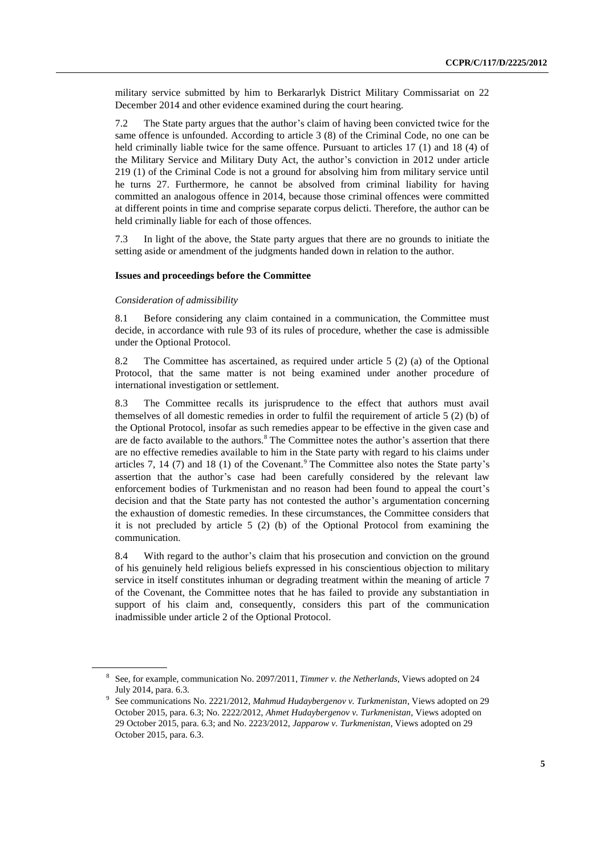military service submitted by him to Berkararlyk District Military Commissariat on 22 December 2014 and other evidence examined during the court hearing.

7.2 The State party argues that the author's claim of having been convicted twice for the same offence is unfounded. According to article 3 (8) of the Criminal Code, no one can be held criminally liable twice for the same offence. Pursuant to articles 17 (1) and 18 (4) of the Military Service and Military Duty Act, the author's conviction in 2012 under article 219 (1) of the Criminal Code is not a ground for absolving him from military service until he turns 27. Furthermore, he cannot be absolved from criminal liability for having committed an analogous offence in 2014, because those criminal offences were committed at different points in time and comprise separate corpus delicti. Therefore, the author can be held criminally liable for each of those offences.

7.3 In light of the above, the State party argues that there are no grounds to initiate the setting aside or amendment of the judgments handed down in relation to the author.

#### **Issues and proceedings before the Committee**

#### *Consideration of admissibility*

8.1 Before considering any claim contained in a communication, the Committee must decide, in accordance with rule 93 of its rules of procedure, whether the case is admissible under the Optional Protocol.

8.2 The Committee has ascertained, as required under article 5 (2) (a) of the Optional Protocol, that the same matter is not being examined under another procedure of international investigation or settlement.

8.3 The Committee recalls its jurisprudence to the effect that authors must avail themselves of all domestic remedies in order to fulfil the requirement of article 5 (2) (b) of the Optional Protocol, insofar as such remedies appear to be effective in the given case and are de facto available to the authors.<sup>8</sup> The Committee notes the author's assertion that there are no effective remedies available to him in the State party with regard to his claims under articles 7, 14 (7) and 18 (1) of the Covenant.<sup>9</sup> The Committee also notes the State party's assertion that the author's case had been carefully considered by the relevant law enforcement bodies of Turkmenistan and no reason had been found to appeal the court's decision and that the State party has not contested the author's argumentation concerning the exhaustion of domestic remedies. In these circumstances, the Committee considers that it is not precluded by article 5 (2) (b) of the Optional Protocol from examining the communication.

8.4 With regard to the author's claim that his prosecution and conviction on the ground of his genuinely held religious beliefs expressed in his conscientious objection to military service in itself constitutes inhuman or degrading treatment within the meaning of article 7 of the Covenant, the Committee notes that he has failed to provide any substantiation in support of his claim and, consequently, considers this part of the communication inadmissible under article 2 of the Optional Protocol.

<sup>8</sup> See, for example, communication No. 2097/2011, *Timmer v. the Netherlands*, Views adopted on 24 July 2014, para. 6.3.

<sup>9</sup> See communications No. 2221/2012, *Mahmud Hudaybergenov v. Turkmenistan*, Views adopted on 29 October 2015, para. 6.3; No. 2222/2012, *Ahmet Hudaybergenov v. Turkmenistan*, Views adopted on 29 October 2015, para. 6.3; and No. 2223/2012, *Japparow v. Turkmenistan*, Views adopted on 29 October 2015, para. 6.3.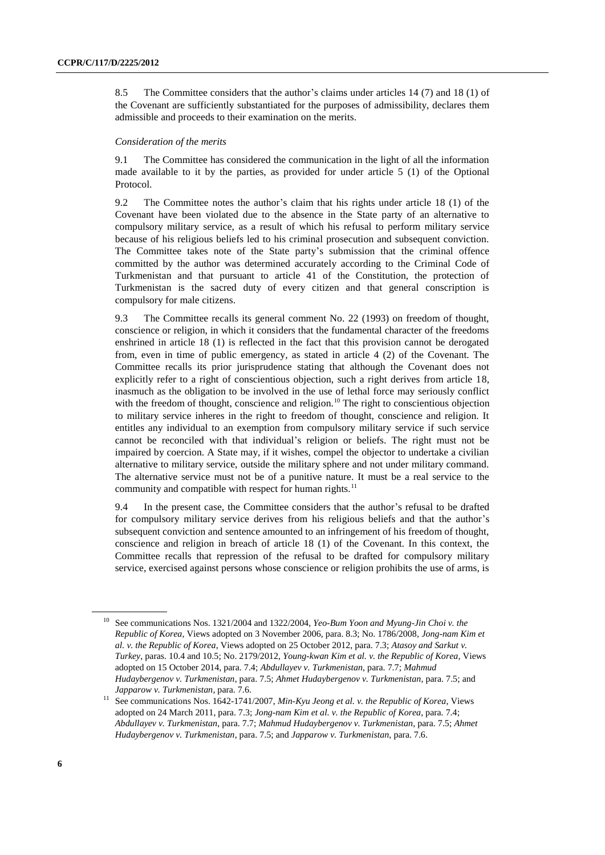8.5 The Committee considers that the author's claims under articles 14 (7) and 18 (1) of the Covenant are sufficiently substantiated for the purposes of admissibility, declares them admissible and proceeds to their examination on the merits.

#### *Consideration of the merits*

9.1 The Committee has considered the communication in the light of all the information made available to it by the parties, as provided for under article 5 (1) of the Optional Protocol.

9.2 The Committee notes the author's claim that his rights under article 18 (1) of the Covenant have been violated due to the absence in the State party of an alternative to compulsory military service, as a result of which his refusal to perform military service because of his religious beliefs led to his criminal prosecution and subsequent conviction. The Committee takes note of the State party's submission that the criminal offence committed by the author was determined accurately according to the Criminal Code of Turkmenistan and that pursuant to article 41 of the Constitution, the protection of Turkmenistan is the sacred duty of every citizen and that general conscription is compulsory for male citizens.

9.3 The Committee recalls its general comment No. 22 (1993) on freedom of thought, conscience or religion, in which it considers that the fundamental character of the freedoms enshrined in article 18 (1) is reflected in the fact that this provision cannot be derogated from, even in time of public emergency, as stated in article 4 (2) of the Covenant. The Committee recalls its prior jurisprudence stating that although the Covenant does not explicitly refer to a right of conscientious objection, such a right derives from article 18, inasmuch as the obligation to be involved in the use of lethal force may seriously conflict with the freedom of thought, conscience and religion.<sup>10</sup> The right to conscientious objection to military service inheres in the right to freedom of thought, conscience and religion. It entitles any individual to an exemption from compulsory military service if such service cannot be reconciled with that individual's religion or beliefs. The right must not be impaired by coercion. A State may, if it wishes, compel the objector to undertake a civilian alternative to military service, outside the military sphere and not under military command. The alternative service must not be of a punitive nature. It must be a real service to the community and compatible with respect for human rights.<sup>11</sup>

9.4 In the present case, the Committee considers that the author's refusal to be drafted for compulsory military service derives from his religious beliefs and that the author's subsequent conviction and sentence amounted to an infringement of his freedom of thought, conscience and religion in breach of article 18 (1) of the Covenant. In this context, the Committee recalls that repression of the refusal to be drafted for compulsory military service, exercised against persons whose conscience or religion prohibits the use of arms, is

<sup>10</sup> See communications Nos. 1321/2004 and 1322/2004, *Yeo-Bum Yoon and Myung-Jin Choi v. the Republic of Korea*, Views adopted on 3 November 2006, para. 8.3; No. 1786/2008, *Jong-nam Kim et al. v. the Republic of Korea*, Views adopted on 25 October 2012, para. 7.3; *Atasoy and Sarkut v. Turkey*, paras. 10.4 and 10.5; No. 2179/2012, *Young-kwan Kim et al. v. the Republic of Korea*, Views adopted on 15 October 2014, para. 7.4; *Abdullayev v. Turkmenistan*, para. 7.7; *Mahmud Hudaybergenov v. Turkmenistan*, para. 7.5; *Ahmet Hudaybergenov v. Turkmenistan*, para. 7.5; and *Japparow v. Turkmenistan*, para. 7.6.

<sup>&</sup>lt;sup>11</sup> See communications Nos. 1642-1741/2007, *Min-Kyu Jeong et al. v. the Republic of Korea*, Views adopted on 24 March 2011, para. 7.3; *Jong-nam Kim et al. v. the Republic of Korea*, para. 7.4; *Abdullayev v. Turkmenistan*, para. 7.7; *Mahmud Hudaybergenov v. Turkmenistan*, para. 7.5; *Ahmet Hudaybergenov v. Turkmenistan*, para. 7.5; and *Japparow v. Turkmenistan*, para. 7.6.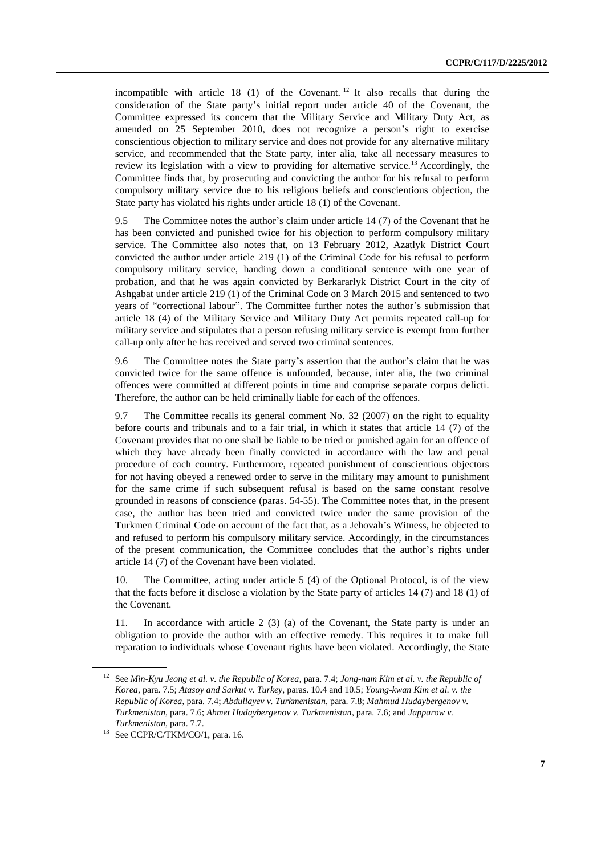incompatible with article  $18$  (1) of the Covenant.<sup>12</sup> It also recalls that during the consideration of the State party's initial report under article 40 of the Covenant, the Committee expressed its concern that the Military Service and Military Duty Act, as amended on 25 September 2010, does not recognize a person's right to exercise conscientious objection to military service and does not provide for any alternative military service, and recommended that the State party, inter alia, take all necessary measures to review its legislation with a view to providing for alternative service.<sup>13</sup> Accordingly, the Committee finds that, by prosecuting and convicting the author for his refusal to perform compulsory military service due to his religious beliefs and conscientious objection, the State party has violated his rights under article 18 (1) of the Covenant.

9.5 The Committee notes the author's claim under article 14 (7) of the Covenant that he has been convicted and punished twice for his objection to perform compulsory military service. The Committee also notes that, on 13 February 2012, Azatlyk District Court convicted the author under article 219 (1) of the Criminal Code for his refusal to perform compulsory military service, handing down a conditional sentence with one year of probation, and that he was again convicted by Berkararlyk District Court in the city of Ashgabat under article 219 (1) of the Criminal Code on 3 March 2015 and sentenced to two years of "correctional labour". The Committee further notes the author's submission that article 18 (4) of the Military Service and Military Duty Act permits repeated call-up for military service and stipulates that a person refusing military service is exempt from further call-up only after he has received and served two criminal sentences.

9.6 The Committee notes the State party's assertion that the author's claim that he was convicted twice for the same offence is unfounded, because, inter alia, the two criminal offences were committed at different points in time and comprise separate corpus delicti. Therefore, the author can be held criminally liable for each of the offences.

9.7 The Committee recalls its general comment No. 32 (2007) on the right to equality before courts and tribunals and to a fair trial, in which it states that article 14 (7) of the Covenant provides that no one shall be liable to be tried or punished again for an offence of which they have already been finally convicted in accordance with the law and penal procedure of each country. Furthermore, repeated punishment of conscientious objectors for not having obeyed a renewed order to serve in the military may amount to punishment for the same crime if such subsequent refusal is based on the same constant resolve grounded in reasons of conscience (paras. 54-55). The Committee notes that, in the present case, the author has been tried and convicted twice under the same provision of the Turkmen Criminal Code on account of the fact that, as a Jehovah's Witness, he objected to and refused to perform his compulsory military service. Accordingly, in the circumstances of the present communication, the Committee concludes that the author's rights under article 14 (7) of the Covenant have been violated.

10. The Committee, acting under article 5 (4) of the Optional Protocol, is of the view that the facts before it disclose a violation by the State party of articles 14 (7) and 18 (1) of the Covenant.

11. In accordance with article 2 (3) (a) of the Covenant, the State party is under an obligation to provide the author with an effective remedy. This requires it to make full reparation to individuals whose Covenant rights have been violated. Accordingly, the State

<sup>12</sup> See *Min-Kyu Jeong et al. v. the Republic of Korea*, para. 7.4; *Jong-nam Kim et al. v. the Republic of Korea*, para. 7.5; *Atasoy and Sarkut v. Turkey*, paras. 10.4 and 10.5; *Young-kwan Kim et al. v. the Republic of Korea*, para. 7.4; *Abdullayev v. Turkmenistan*, para. 7.8; *Mahmud Hudaybergenov v. Turkmenistan*, para. 7.6; *Ahmet Hudaybergenov v. Turkmenistan*, para. 7.6; and *Japparow v. Turkmenistan*, para. 7.7.

<sup>&</sup>lt;sup>13</sup> See CCPR/C/TKM/CO/1, para. 16.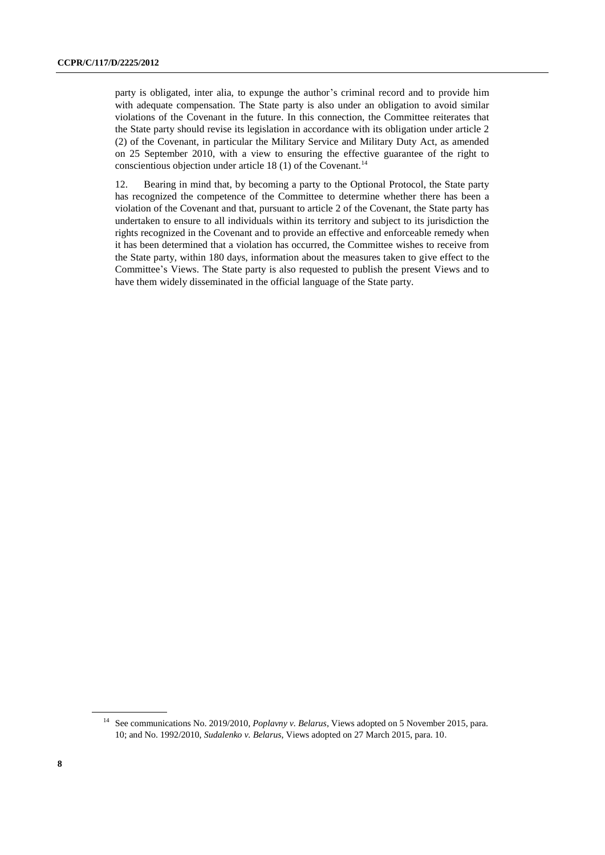party is obligated, inter alia, to expunge the author's criminal record and to provide him with adequate compensation. The State party is also under an obligation to avoid similar violations of the Covenant in the future. In this connection, the Committee reiterates that the State party should revise its legislation in accordance with its obligation under article 2 (2) of the Covenant, in particular the Military Service and Military Duty Act, as amended on 25 September 2010, with a view to ensuring the effective guarantee of the right to conscientious objection under article 18 (1) of the Covenant.<sup>14</sup>

12. Bearing in mind that, by becoming a party to the Optional Protocol, the State party has recognized the competence of the Committee to determine whether there has been a violation of the Covenant and that, pursuant to article 2 of the Covenant, the State party has undertaken to ensure to all individuals within its territory and subject to its jurisdiction the rights recognized in the Covenant and to provide an effective and enforceable remedy when it has been determined that a violation has occurred, the Committee wishes to receive from the State party, within 180 days, information about the measures taken to give effect to the Committee's Views. The State party is also requested to publish the present Views and to have them widely disseminated in the official language of the State party.

<sup>&</sup>lt;sup>14</sup> See communications No. 2019/2010, *Poplavny v. Belarus*, Views adopted on 5 November 2015, para. 10; and No. 1992/2010, *Sudalenko v. Belarus*, Views adopted on 27 March 2015, para. 10.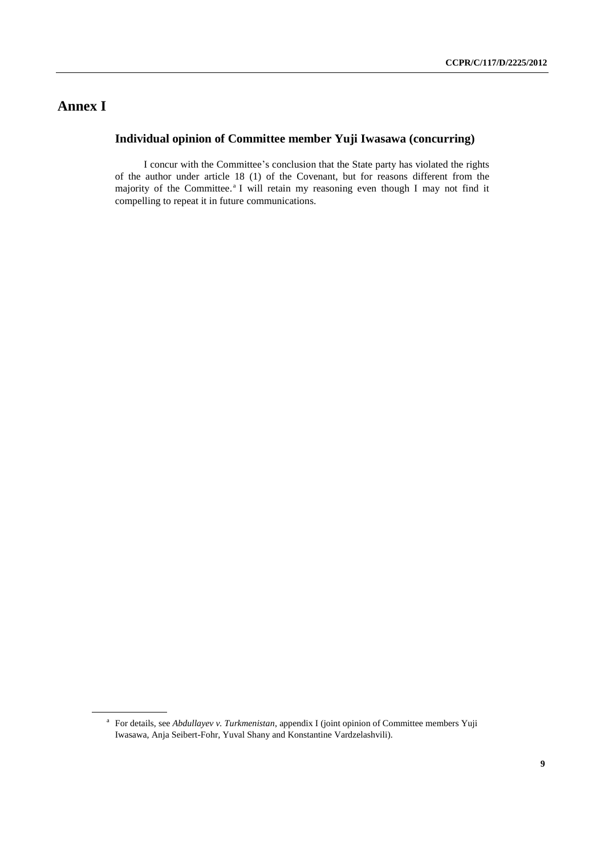## **Annex I**

### **Individual opinion of Committee member Yuji Iwasawa (concurring)**

I concur with the Committee's conclusion that the State party has violated the rights of the author under article 18 (1) of the Covenant, but for reasons different from the majority of the Committee.<sup>a</sup> I will retain my reasoning even though I may not find it compelling to repeat it in future communications.

<sup>&</sup>lt;sup>a</sup> For details, see *Abdullayev v. Turkmenistan*, appendix I (joint opinion of Committee members Yuji Iwasawa, Anja Seibert-Fohr, Yuval Shany and Konstantine Vardzelashvili).